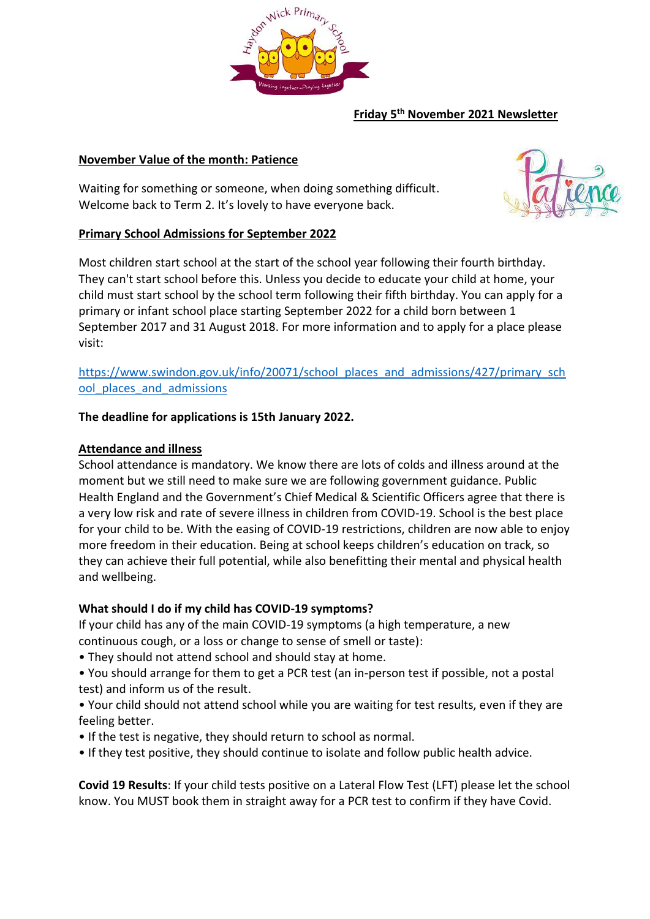

# **Friday 5th November 2021 Newsletter**

# **November Value of the month: Patience**

Waiting for something or someone, when doing something difficult. Welcome back to Term 2. It's lovely to have everyone back.



# **Primary School Admissions for September 2022**

Most children start school at the start of the school year following their fourth birthday. They can't start school before this. Unless you decide to educate your child at home, your child must start school by the school term following their fifth birthday. You can apply for a primary or infant school place starting September 2022 for a child born between 1 September 2017 and 31 August 2018. For more information and to apply for a place please visit:

[https://www.swindon.gov.uk/info/20071/school\\_places\\_and\\_admissions/427/primary\\_sch](https://www.swindon.gov.uk/info/20071/school_places_and_admissions/427/primary_school_places_and_admissions) ool places and admissions

#### **The deadline for applications is 15th January 2022.**

#### **Attendance and illness**

School attendance is mandatory. We know there are lots of colds and illness around at the moment but we still need to make sure we are following government guidance. Public Health England and the Government's Chief Medical & Scientific Officers agree that there is a very low risk and rate of severe illness in children from COVID-19. School is the best place for your child to be. With the easing of COVID-19 restrictions, children are now able to enjoy more freedom in their education. Being at school keeps children's education on track, so they can achieve their full potential, while also benefitting their mental and physical health and wellbeing.

#### **What should I do if my child has COVID-19 symptoms?**

If your child has any of the main COVID-19 symptoms (a high temperature, a new continuous cough, or a loss or change to sense of smell or taste):

- They should not attend school and should stay at home.
- You should arrange for them to get a PCR test (an in-person test if possible, not a postal test) and inform us of the result.
- Your child should not attend school while you are waiting for test results, even if they are feeling better.
- If the test is negative, they should return to school as normal.
- If they test positive, they should continue to isolate and follow public health advice.

**Covid 19 Results**: If your child tests positive on a Lateral Flow Test (LFT) please let the school know. You MUST book them in straight away for a PCR test to confirm if they have Covid.